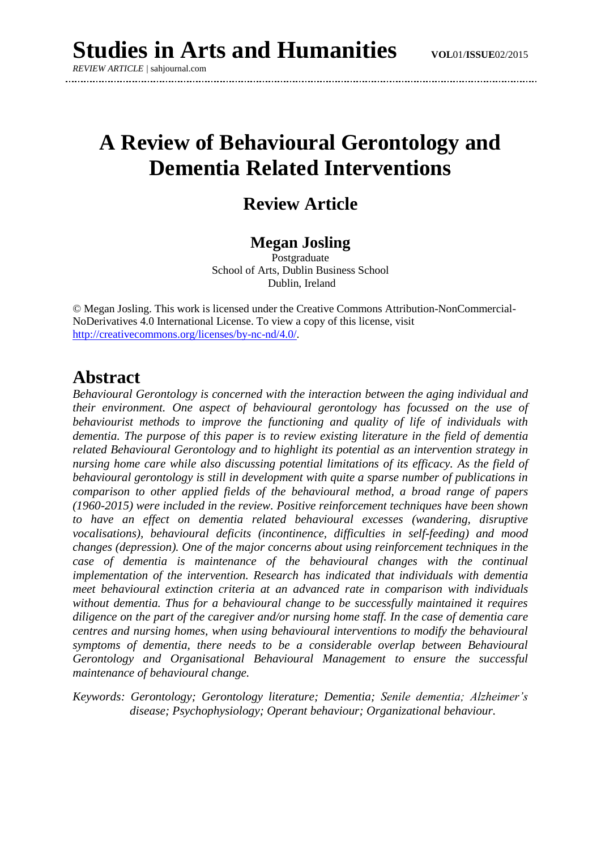*REVIEW ARTICLE |* sahjournal.com

# **A Review of Behavioural Gerontology and Dementia Related Interventions**

## **Review Article**

### **Megan Josling**

Postgraduate School of Arts, Dublin Business School Dublin, Ireland

© Megan Josling. This work is licensed under the Creative Commons Attribution-NonCommercial-NoDerivatives 4.0 International License. To view a copy of this license, visit [http://creativecommons.org/licenses/by-nc-nd/4.0/.](http://creativecommons.org/licenses/by-nc-nd/4.0/)

### **Abstract**

*Behavioural Gerontology is concerned with the interaction between the aging individual and their environment. One aspect of behavioural gerontology has focussed on the use of behaviourist methods to improve the functioning and quality of life of individuals with dementia. The purpose of this paper is to review existing literature in the field of dementia related Behavioural Gerontology and to highlight its potential as an intervention strategy in nursing home care while also discussing potential limitations of its efficacy. As the field of behavioural gerontology is still in development with quite a sparse number of publications in comparison to other applied fields of the behavioural method, a broad range of papers (1960-2015) were included in the review. Positive reinforcement techniques have been shown to have an effect on dementia related behavioural excesses (wandering, disruptive vocalisations), behavioural deficits (incontinence, difficulties in self-feeding) and mood changes (depression). One of the major concerns about using reinforcement techniques in the case of dementia is maintenance of the behavioural changes with the continual implementation of the intervention. Research has indicated that individuals with dementia meet behavioural extinction criteria at an advanced rate in comparison with individuals without dementia. Thus for a behavioural change to be successfully maintained it requires diligence on the part of the caregiver and/or nursing home staff. In the case of dementia care centres and nursing homes, when using behavioural interventions to modify the behavioural symptoms of dementia, there needs to be a considerable overlap between Behavioural Gerontology and Organisational Behavioural Management to ensure the successful maintenance of behavioural change.*

*Keywords: Gerontology; Gerontology literature; Dementia; Senile dementia; Alzheimer's disease; Psychophysiology; Operant behaviour; Organizational behaviour.*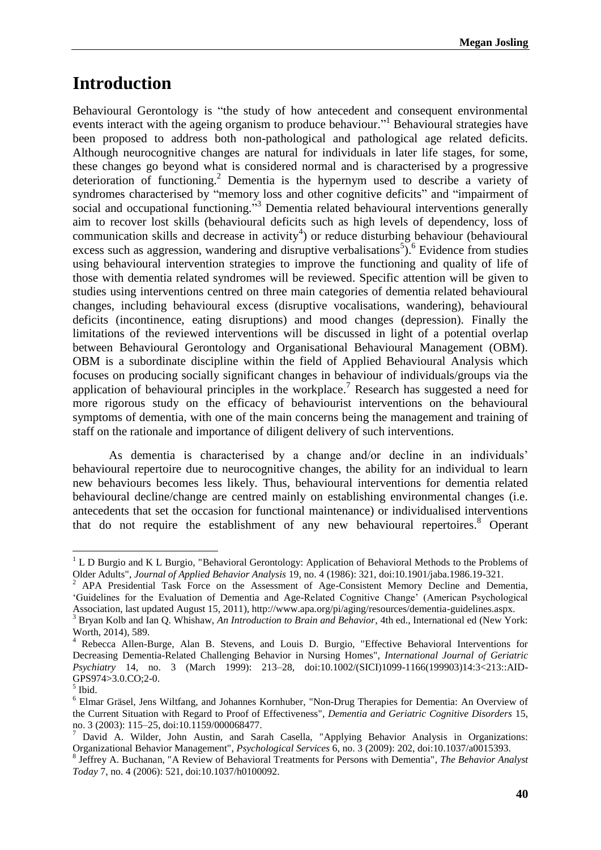## **Introduction**

Behavioural Gerontology is "the study of how antecedent and consequent environmental events interact with the ageing organism to produce behaviour."<sup>1</sup> Behavioural strategies have been proposed to address both non-pathological and pathological age related deficits. Although neurocognitive changes are natural for individuals in later life stages, for some, these changes go beyond what is considered normal and is characterised by a progressive deterioration of functioning. <sup>2</sup> Dementia is the hypernym used to describe a variety of syndromes characterised by "memory loss and other cognitive deficits" and "impairment of social and occupational functioning.<sup>33</sup> Dementia related behavioural interventions generally aim to recover lost skills (behavioural deficits such as high levels of dependency, loss of communication skills and decrease in activity<sup>4</sup>) or reduce disturbing behaviour (behavioural excess such as aggression, wandering and disruptive verbalisations<sup>5</sup>). <sup>6</sup> Evidence from studies using behavioural intervention strategies to improve the functioning and quality of life of those with dementia related syndromes will be reviewed. Specific attention will be given to studies using interventions centred on three main categories of dementia related behavioural changes, including behavioural excess (disruptive vocalisations, wandering), behavioural deficits (incontinence, eating disruptions) and mood changes (depression). Finally the limitations of the reviewed interventions will be discussed in light of a potential overlap between Behavioural Gerontology and Organisational Behavioural Management (OBM). OBM is a subordinate discipline within the field of Applied Behavioural Analysis which focuses on producing socially significant changes in behaviour of individuals/groups via the application of behavioural principles in the workplace. <sup>7</sup> Research has suggested a need for more rigorous study on the efficacy of behaviourist interventions on the behavioural symptoms of dementia, with one of the main concerns being the management and training of staff on the rationale and importance of diligent delivery of such interventions.

As dementia is characterised by a change and/or decline in an individuals' behavioural repertoire due to neurocognitive changes, the ability for an individual to learn new behaviours becomes less likely. Thus, behavioural interventions for dementia related behavioural decline/change are centred mainly on establishing environmental changes (i.e. antecedents that set the occasion for functional maintenance) or individualised interventions that do not require the establishment of any new behavioural repertoires.<sup>8</sup> Operant

1

<sup>&</sup>lt;sup>1</sup> L D Burgio and K L Burgio, "Behavioral Gerontology: Application of Behavioral Methods to the Problems of Older Adults", *Journal of Applied Behavior Analysis* 19, no. 4 (1986): 321, doi:10.1901/jaba.1986.19-321.

<sup>2</sup> APA Presidential Task Force on the Assessment of Age-Consistent Memory Decline and Dementia, 'Guidelines for the Evaluation of Dementia and Age-Related Cognitive Change' (American Psychological Association, last updated August 15, 2011), http://www.apa.org/pi/aging/resources/dementia-guidelines.aspx.

<sup>&</sup>lt;sup>3</sup> Bryan Kolb and Ian Q. Whishaw, *An Introduction to Brain and Behavior*, 4th ed., International ed (New York: Worth, 2014), 589.

<sup>4</sup> Rebecca Allen-Burge, Alan B. Stevens, and Louis D. Burgio, "Effective Behavioral Interventions for Decreasing Dementia-Related Challenging Behavior in Nursing Homes", *International Journal of Geriatric Psychiatry* 14, no. 3 (March 1999): 213–28, doi:10.1002/(SICI)1099-1166(199903)14:3<213::AID-GPS974>3.0.CO;2-0.

<sup>5</sup> Ibid.

<sup>6</sup> Elmar Gräsel, Jens Wiltfang, and Johannes Kornhuber, "Non-Drug Therapies for Dementia: An Overview of the Current Situation with Regard to Proof of Effectiveness", *Dementia and Geriatric Cognitive Disorders* 15, no. 3 (2003): 115–25, doi:10.1159/000068477.

 $\frac{7}{7}$  David A. Wilder, John Austin, and Sarah Casella, "Applying Behavior Analysis in Organizations: Organizational Behavior Management", *Psychological Services* 6, no. 3 (2009): 202, doi:10.1037/a0015393.

<sup>8</sup> Jeffrey A. Buchanan, "A Review of Behavioral Treatments for Persons with Dementia", *The Behavior Analyst Today* 7, no. 4 (2006): 521, doi:10.1037/h0100092.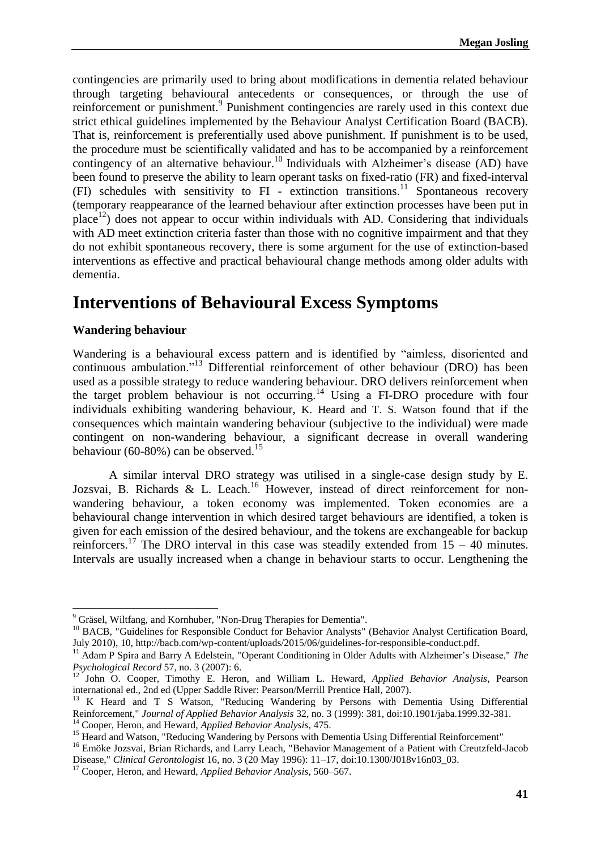contingencies are primarily used to bring about modifications in dementia related behaviour through targeting behavioural antecedents or consequences, or through the use of reinforcement or punishment. 9 Punishment contingencies are rarely used in this context due strict ethical guidelines implemented by the Behaviour Analyst Certification Board (BACB). That is, reinforcement is preferentially used above punishment. If punishment is to be used, the procedure must be scientifically validated and has to be accompanied by a reinforcement contingency of an alternative behaviour.<sup>10</sup> Individuals with Alzheimer's disease (AD) have been found to preserve the ability to learn operant tasks on fixed-ratio (FR) and fixed-interval (FI) schedules with sensitivity to FI - extinction transitions. <sup>11</sup> Spontaneous recovery (temporary reappearance of the learned behaviour after extinction processes have been put in place<sup>12</sup>) does not appear to occur within individuals with AD. Considering that individuals with AD meet extinction criteria faster than those with no cognitive impairment and that they do not exhibit spontaneous recovery, there is some argument for the use of extinction-based interventions as effective and practical behavioural change methods among older adults with dementia.

## **Interventions of Behavioural Excess Symptoms**

### **Wandering behaviour**

**.** 

Wandering is a behavioural excess pattern and is identified by "aimless, disoriented and continuous ambulation."<sup>13</sup> Differential reinforcement of other behaviour (DRO) has been used as a possible strategy to reduce wandering behaviour. DRO delivers reinforcement when the target problem behaviour is not occurring. <sup>14</sup> Using a FI-DRO procedure with four individuals exhibiting wandering behaviour, K. Heard and T. S. Watson found that if the consequences which maintain wandering behaviour (subjective to the individual) were made contingent on non-wandering behaviour, a significant decrease in overall wandering behaviour (60-80%) can be observed.<sup>15</sup>

A similar interval DRO strategy was utilised in a single-case design study by E. Jozsvai, B. Richards & L. Leach.<sup>16</sup> However, instead of direct reinforcement for nonwandering behaviour, a token economy was implemented. Token economies are a behavioural change intervention in which desired target behaviours are identified, a token is given for each emission of the desired behaviour, and the tokens are exchangeable for backup reinforcers.<sup>17</sup> The DRO interval in this case was steadily extended from  $15 - 40$  minutes. Intervals are usually increased when a change in behaviour starts to occur. Lengthening the

 $9^9$  Gräsel, Wiltfang, and Kornhuber, "Non-Drug Therapies for Dementia".

<sup>&</sup>lt;sup>10</sup> BACB, "Guidelines for Responsible Conduct for Behavior Analysts" (Behavior Analyst Certification Board, July 2010), 10, http://bacb.com/wp-content/uploads/2015/06/guidelines-for-responsible-conduct.pdf.

<sup>&</sup>lt;sup>11</sup> Adam P Spira and Barry A Edelstein, "Operant Conditioning in Older Adults with Alzheimer's Disease," *The Psychological Record* 57, no. 3 (2007): 6.

<sup>&</sup>lt;sup>12</sup> John O. Cooper, Timothy E. Heron, and William L. Heward, *Applied Behavior Analysis*, Pearson international ed., 2nd ed (Upper Saddle River: Pearson/Merrill Prentice Hall, 2007).

<sup>&</sup>lt;sup>13</sup> K Heard and T S Watson, "Reducing Wandering by Persons with Dementia Using Differential Reinforcement," *Journal of Applied Behavior Analysis* 32, no. 3 (1999): 381, doi:10.1901/jaba.1999.32-381.

<sup>14</sup> Cooper, Heron, and Heward, *Applied Behavior Analysis*, 475.

<sup>&</sup>lt;sup>15</sup> Heard and Watson, "Reducing Wandering by Persons with Dementia Using Differential Reinforcement"

<sup>&</sup>lt;sup>16</sup> Emöke Jozsvai, Brian Richards, and Larry Leach, "Behavior Management of a Patient with Creutzfeld-Jacob Disease," *Clinical Gerontologist* 16, no. 3 (20 May 1996): 11–17, doi:10.1300/J018v16n03\_03.

<sup>17</sup> Cooper, Heron, and Heward, *Applied Behavior Analysis*, 560–567.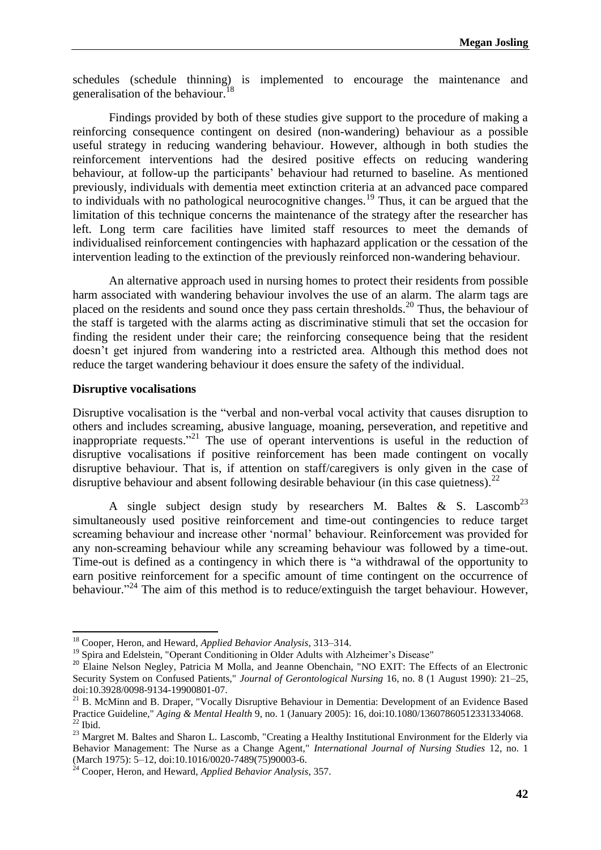schedules (schedule thinning) is implemented to encourage the maintenance and generalisation of the behaviour.<sup>18</sup>

Findings provided by both of these studies give support to the procedure of making a reinforcing consequence contingent on desired (non-wandering) behaviour as a possible useful strategy in reducing wandering behaviour. However, although in both studies the reinforcement interventions had the desired positive effects on reducing wandering behaviour, at follow-up the participants' behaviour had returned to baseline. As mentioned previously, individuals with dementia meet extinction criteria at an advanced pace compared to individuals with no pathological neurocognitive changes.<sup>19</sup> Thus, it can be argued that the limitation of this technique concerns the maintenance of the strategy after the researcher has left. Long term care facilities have limited staff resources to meet the demands of individualised reinforcement contingencies with haphazard application or the cessation of the intervention leading to the extinction of the previously reinforced non-wandering behaviour.

An alternative approach used in nursing homes to protect their residents from possible harm associated with wandering behaviour involves the use of an alarm. The alarm tags are placed on the residents and sound once they pass certain thresholds.<sup>20</sup> Thus, the behaviour of the staff is targeted with the alarms acting as discriminative stimuli that set the occasion for finding the resident under their care; the reinforcing consequence being that the resident doesn't get injured from wandering into a restricted area. Although this method does not reduce the target wandering behaviour it does ensure the safety of the individual.

#### **Disruptive vocalisations**

1

Disruptive vocalisation is the "verbal and non-verbal vocal activity that causes disruption to others and includes screaming, abusive language, moaning, perseveration, and repetitive and inappropriate requests."<sup>21</sup> The use of operant interventions is useful in the reduction of disruptive vocalisations if positive reinforcement has been made contingent on vocally disruptive behaviour. That is, if attention on staff/caregivers is only given in the case of disruptive behaviour and absent following desirable behaviour (in this case quietness).<sup>22</sup>

A single subject design study by researchers M. Baltes & S. Lascomb<sup>23</sup> simultaneously used positive reinforcement and time-out contingencies to reduce target screaming behaviour and increase other 'normal' behaviour. Reinforcement was provided for any non-screaming behaviour while any screaming behaviour was followed by a time-out. Time-out is defined as a contingency in which there is "a withdrawal of the opportunity to earn positive reinforcement for a specific amount of time contingent on the occurrence of behaviour."<sup>24</sup> The aim of this method is to reduce/extinguish the target behaviour. However,

<sup>18</sup> Cooper, Heron, and Heward, *Applied Behavior Analysis*, 313–314.

<sup>&</sup>lt;sup>19</sup> Spira and Edelstein, "Operant Conditioning in Older Adults with Alzheimer's Disease"

<sup>&</sup>lt;sup>20</sup> Elaine Nelson Negley, Patricia M Molla, and Jeanne Obenchain, "NO EXIT: The Effects of an Electronic Security System on Confused Patients," *Journal of Gerontological Nursing* 16, no. 8 (1 August 1990): 21–25, doi:10.3928/0098-9134-19900801-07.

<sup>&</sup>lt;sup>21</sup> B. McMinn and B. Draper, "Vocally Disruptive Behaviour in Dementia: Development of an Evidence Based Practice Guideline," *Aging & Mental Health* 9, no. 1 (January 2005): 16, doi:10.1080/13607860512331334068.  $^{22}$  Ibid.

<sup>&</sup>lt;sup>23</sup> Margret M. Baltes and Sharon L. Lascomb, "Creating a Healthy Institutional Environment for the Elderly via Behavior Management: The Nurse as a Change Agent," *International Journal of Nursing Studies* 12, no. 1 (March 1975): 5–12, doi:10.1016/0020-7489(75)90003-6.

<sup>24</sup> Cooper, Heron, and Heward, *Applied Behavior Analysis*, 357.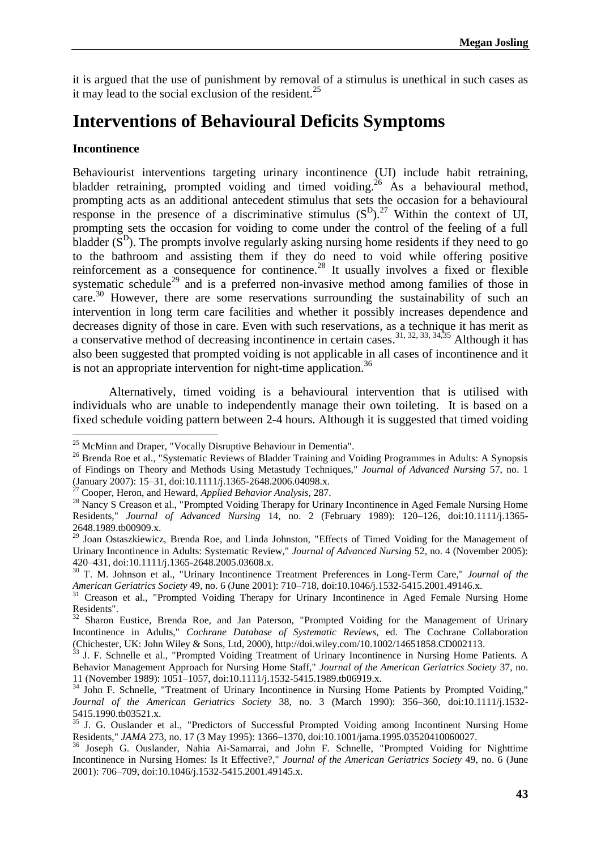it is argued that the use of punishment by removal of a stimulus is unethical in such cases as it may lead to the social exclusion of the resident.<sup>25</sup>

## **Interventions of Behavioural Deficits Symptoms**

#### **Incontinence**

**.** 

Behaviourist interventions targeting urinary incontinence (UI) include habit retraining, bladder retraining, prompted voiding and timed voiding.<sup>26</sup> As a behavioural method, prompting acts as an additional antecedent stimulus that sets the occasion for a behavioural response in the presence of a discriminative stimulus  $(S<sup>D</sup>)<sup>27</sup>$  Within the context of UI, prompting sets the occasion for voiding to come under the control of the feeling of a full bladder  $(S<sup>D</sup>)$ . The prompts involve regularly asking nursing home residents if they need to go to the bathroom and assisting them if they do need to void while offering positive reinforcement as a consequence for continence.<sup>28</sup> It usually involves a fixed or flexible systematic schedule<sup>29</sup> and is a preferred non-invasive method among families of those in care.<sup>30</sup> However, there are some reservations surrounding the sustainability of such an intervention in long term care facilities and whether it possibly increases dependence and decreases dignity of those in care. Even with such reservations, as a technique it has merit as a conservative method of decreasing incontinence in certain cases.<sup>31, 32, 33, 34, 35</sup> Although it has also been suggested that prompted voiding is not applicable in all cases of incontinence and it is not an appropriate intervention for night-time application.<sup>36</sup>

Alternatively, timed voiding is a behavioural intervention that is utilised with individuals who are unable to independently manage their own toileting. It is based on a fixed schedule voiding pattern between 2-4 hours. Although it is suggested that timed voiding

<sup>&</sup>lt;sup>25</sup> McMinn and Draper, "Vocally Disruptive Behaviour in Dementia".

<sup>&</sup>lt;sup>26</sup> Brenda Roe et al., "Systematic Reviews of Bladder Training and Voiding Programmes in Adults: A Synopsis of Findings on Theory and Methods Using Metastudy Techniques," *Journal of Advanced Nursing* 57, no. 1 (January 2007): 15–31, doi:10.1111/j.1365-2648.2006.04098.x.

<sup>27</sup> Cooper, Heron, and Heward, *Applied Behavior Analysis*, 287.

<sup>&</sup>lt;sup>28</sup> Nancy S Creason et al., "Prompted Voiding Therapy for Urinary Incontinence in Aged Female Nursing Home Residents," *Journal of Advanced Nursing* 14, no. 2 (February 1989): 120–126, doi:10.1111/j.1365- 2648.1989.tb00909.x.

<sup>29</sup> Joan Ostaszkiewicz, Brenda Roe, and Linda Johnston, "Effects of Timed Voiding for the Management of Urinary Incontinence in Adults: Systematic Review," *Journal of Advanced Nursing* 52, no. 4 (November 2005): 420–431, doi:10.1111/j.1365-2648.2005.03608.x.

<sup>30</sup> T. M. Johnson et al., "Urinary Incontinence Treatment Preferences in Long-Term Care," *Journal of the American Geriatrics Society* 49, no. 6 (June 2001): 710–718, doi:10.1046/j.1532-5415.2001.49146.x.

<sup>&</sup>lt;sup>31</sup> Creason et al., "Prompted Voiding Therapy for Urinary Incontinence in Aged Female Nursing Home Residents".

 $32$  Sharon Eustice, Brenda Roe, and Jan Paterson, "Prompted Voiding for the Management of Urinary Incontinence in Adults," *Cochrane Database of Systematic Reviews*, ed. The Cochrane Collaboration (Chichester, UK: John Wiley & Sons, Ltd, 2000), http://doi.wiley.com/10.1002/14651858.CD002113.

<sup>33</sup> J. F. Schnelle et al., "Prompted Voiding Treatment of Urinary Incontinence in Nursing Home Patients. A Behavior Management Approach for Nursing Home Staff," *Journal of the American Geriatrics Society* 37, no. 11 (November 1989): 1051–1057, doi:10.1111/j.1532-5415.1989.tb06919.x.

<sup>&</sup>lt;sup>34</sup> John F. Schnelle, "Treatment of Urinary Incontinence in Nursing Home Patients by Prompted Voiding," *Journal of the American Geriatrics Society* 38, no. 3 (March 1990): 356–360, doi:10.1111/j.1532- 5415.1990.tb03521.x.

<sup>&</sup>lt;sup>35</sup> J. G. Ouslander et al., "Predictors of Successful Prompted Voiding among Incontinent Nursing Home Residents," *JAMA* 273, no. 17 (3 May 1995): 1366–1370, doi:10.1001/jama.1995.03520410060027.

<sup>&</sup>lt;sup>36</sup> Joseph G. Ouslander, Nahia Ai-Samarrai, and John F. Schnelle, "Prompted Voiding for Nighttime Incontinence in Nursing Homes: Is It Effective?," *Journal of the American Geriatrics Society* 49, no. 6 (June 2001): 706–709, doi:10.1046/j.1532-5415.2001.49145.x.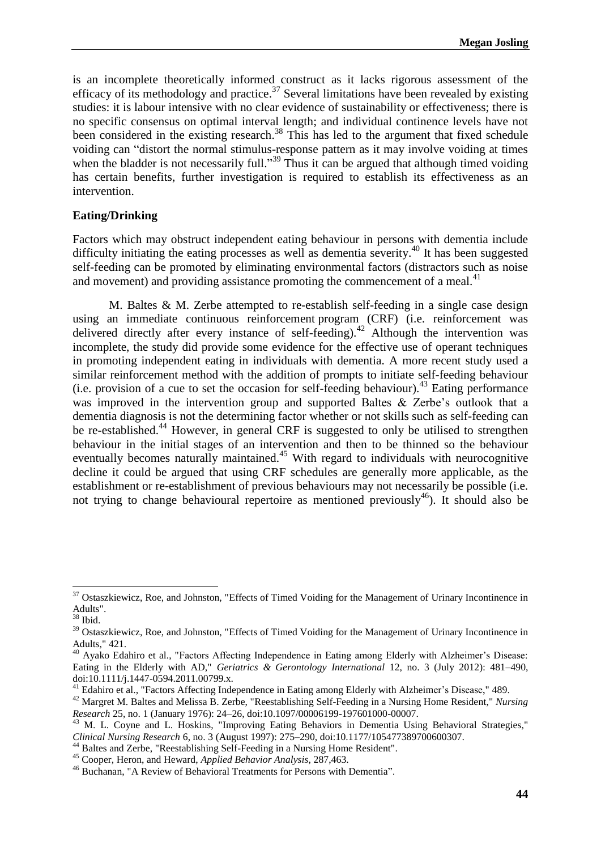is an incomplete theoretically informed construct as it lacks rigorous assessment of the efficacy of its methodology and practice.<sup>37</sup> Several limitations have been revealed by existing studies: it is labour intensive with no clear evidence of sustainability or effectiveness; there is no specific consensus on optimal interval length; and individual continence levels have not been considered in the existing research.<sup>38</sup> This has led to the argument that fixed schedule voiding can "distort the normal stimulus-response pattern as it may involve voiding at times when the bladder is not necessarily full."<sup>39</sup> Thus it can be argued that although timed voiding has certain benefits, further investigation is required to establish its effectiveness as an intervention.

#### **Eating/Drinking**

Factors which may obstruct independent eating behaviour in persons with dementia include difficulty initiating the eating processes as well as dementia severity. <sup>40</sup> It has been suggested self-feeding can be promoted by eliminating environmental factors (distractors such as noise and movement) and providing assistance promoting the commencement of a meal.<sup>41</sup>

M. Baltes & M. Zerbe attempted to re-establish self-feeding in a single case design using an immediate continuous reinforcement program (CRF) (i.e. reinforcement was delivered directly after every instance of self-feeding).<sup>42</sup> Although the intervention was incomplete, the study did provide some evidence for the effective use of operant techniques in promoting independent eating in individuals with dementia. A more recent study used a similar reinforcement method with the addition of prompts to initiate self-feeding behaviour (i.e. provision of a cue to set the occasion for self-feeding behaviour). <sup>43</sup> Eating performance was improved in the intervention group and supported Baltes & Zerbe's outlook that a dementia diagnosis is not the determining factor whether or not skills such as self-feeding can be re-established.<sup>44</sup> However, in general CRF is suggested to only be utilised to strengthen behaviour in the initial stages of an intervention and then to be thinned so the behaviour eventually becomes naturally maintained.<sup>45</sup> With regard to individuals with neurocognitive decline it could be argued that using CRF schedules are generally more applicable, as the establishment or re-establishment of previous behaviours may not necessarily be possible (i.e. not trying to change behavioural repertoire as mentioned previously<sup>46</sup>). It should also be

**.** 

<sup>&</sup>lt;sup>37</sup> Ostaszkiewicz, Roe, and Johnston, "Effects of Timed Voiding for the Management of Urinary Incontinence in Adults".

 $^{38}$  Ibid.

<sup>&</sup>lt;sup>39</sup> Ostaszkiewicz, Roe, and Johnston, "Effects of Timed Voiding for the Management of Urinary Incontinence in Adults," 421.

<sup>&</sup>lt;sup>40</sup> Ayako Edahiro et al., "Factors Affecting Independence in Eating among Elderly with Alzheimer's Disease: Eating in the Elderly with AD," *Geriatrics & Gerontology International* 12, no. 3 (July 2012): 481–490, doi:10.1111/j.1447-0594.2011.00799.x.

<sup>&</sup>lt;sup>41</sup> Edahiro et al., "Factors Affecting Independence in Eating among Elderly with Alzheimer's Disease," 489.

<sup>42</sup> Margret M. Baltes and Melissa B. Zerbe, "Reestablishing Self-Feeding in a Nursing Home Resident," *Nursing Research* 25, no. 1 (January 1976): 24–26, doi:10.1097/00006199-197601000-00007.

<sup>&</sup>lt;sup>43</sup> M. L. Coyne and L. Hoskins, "Improving Eating Behaviors in Dementia Using Behavioral Strategies," *Clinical Nursing Research* 6, no. 3 (August 1997): 275–290, doi:10.1177/105477389700600307.

<sup>44</sup> Baltes and Zerbe, "Reestablishing Self-Feeding in a Nursing Home Resident".

<sup>45</sup> Cooper, Heron, and Heward, *Applied Behavior Analysis*, 287,463.

<sup>46</sup> Buchanan, "A Review of Behavioral Treatments for Persons with Dementia".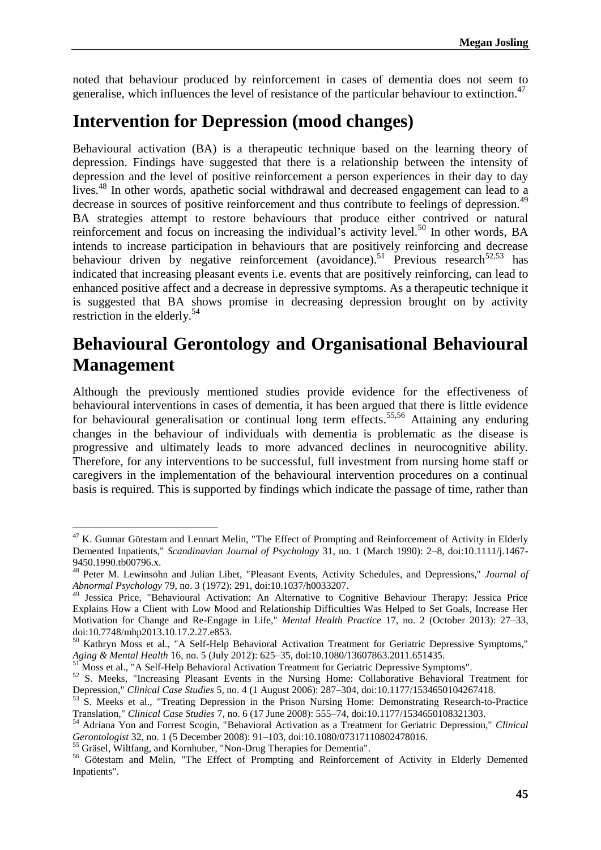noted that behaviour produced by reinforcement in cases of dementia does not seem to generalise, which influences the level of resistance of the particular behaviour to extinction.<sup>47</sup>

## **Intervention for Depression (mood changes)**

Behavioural activation (BA) is a therapeutic technique based on the learning theory of depression. Findings have suggested that there is a relationship between the intensity of depression and the level of positive reinforcement a person experiences in their day to day lives. <sup>48</sup> In other words, apathetic social withdrawal and decreased engagement can lead to a decrease in sources of positive reinforcement and thus contribute to feelings of depression.<sup>49</sup> BA strategies attempt to restore behaviours that produce either contrived or natural reinforcement and focus on increasing the individual's activity level.<sup>50</sup> In other words, BA intends to increase participation in behaviours that are positively reinforcing and decrease behaviour driven by negative reinforcement (avoidance).<sup>51</sup> Previous research<sup>52,53</sup> has indicated that increasing pleasant events i.e. events that are positively reinforcing, can lead to enhanced positive affect and a decrease in depressive symptoms. As a therapeutic technique it is suggested that BA shows promise in decreasing depression brought on by activity restriction in the elderly. 54

## **Behavioural Gerontology and Organisational Behavioural Management**

Although the previously mentioned studies provide evidence for the effectiveness of behavioural interventions in cases of dementia, it has been argued that there is little evidence for behavioural generalisation or continual long term effects.<sup>55,56</sup> Attaining any enduring changes in the behaviour of individuals with dementia is problematic as the disease is progressive and ultimately leads to more advanced declines in neurocognitive ability. Therefore, for any interventions to be successful, full investment from nursing home staff or caregivers in the implementation of the behavioural intervention procedures on a continual basis is required. This is supported by findings which indicate the passage of time, rather than

1

 $47$  K. Gunnar Götestam and Lennart Melin, "The Effect of Prompting and Reinforcement of Activity in Elderly Demented Inpatients," *Scandinavian Journal of Psychology* 31, no. 1 (March 1990): 2–8, doi:10.1111/j.1467- 9450.1990.tb00796.x.

<sup>48</sup> Peter M. Lewinsohn and Julian Libet, "Pleasant Events, Activity Schedules, and Depressions," *Journal of Abnormal Psychology* 79, no. 3 (1972): 291, doi:10.1037/h0033207.

<sup>&</sup>lt;sup>49</sup> Jessica Price, "Behavioural Activation: An Alternative to Cognitive Behaviour Therapy: Jessica Price Explains How a Client with Low Mood and Relationship Difficulties Was Helped to Set Goals, Increase Her Motivation for Change and Re-Engage in Life," *Mental Health Practice* 17, no. 2 (October 2013): 27–33, doi:10.7748/mhp2013.10.17.2.27.e853.

<sup>&</sup>lt;sup>50</sup> Kathryn Moss et al., "A Self-Help Behavioral Activation Treatment for Geriatric Depressive Symptoms," *Aging & Mental Health* 16, no. 5 (July 2012): 625–35, doi:10.1080/13607863.2011.651435.

<sup>&</sup>lt;sup>51</sup> Moss et al., "A Self-Help Behavioral Activation Treatment for Geriatric Depressive Symptoms".

<sup>&</sup>lt;sup>52</sup> S. Meeks, "Increasing Pleasant Events in the Nursing Home: Collaborative Behavioral Treatment for Depression," *Clinical Case Studies* 5, no. 4 (1 August 2006): 287–304, doi:10.1177/1534650104267418.

<sup>53</sup> S. Meeks et al., "Treating Depression in the Prison Nursing Home: Demonstrating Research-to-Practice Translation," *Clinical Case Studies* 7, no. 6 (17 June 2008): 555–74, doi:10.1177/1534650108321303.

<sup>54</sup> Adriana Yon and Forrest Scogin, "Behavioral Activation as a Treatment for Geriatric Depression," *Clinical Gerontologist* 32, no. 1 (5 December 2008): 91–103, doi:10.1080/07317110802478016.

<sup>&</sup>lt;sup>55</sup> Gräsel, Wiltfang, and Kornhuber, "Non-Drug Therapies for Dementia".

<sup>&</sup>lt;sup>56</sup> Götestam and Melin, "The Effect of Prompting and Reinforcement of Activity in Elderly Demented Inpatients".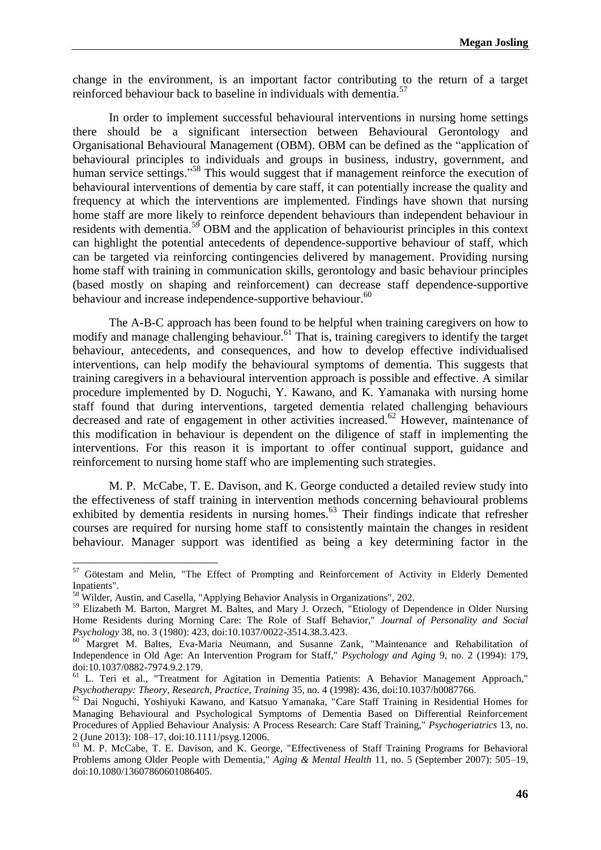change in the environment, is an important factor contributing to the return of a target reinforced behaviour back to baseline in individuals with dementia.<sup>57</sup>

In order to implement successful behavioural interventions in nursing home settings there should be a significant intersection between Behavioural Gerontology and Organisational Behavioural Management (OBM). OBM can be defined as the "application of behavioural principles to individuals and groups in business, industry, government, and human service settings."<sup>58</sup> This would suggest that if management reinforce the execution of behavioural interventions of dementia by care staff, it can potentially increase the quality and frequency at which the interventions are implemented. Findings have shown that nursing home staff are more likely to reinforce dependent behaviours than independent behaviour in residents with dementia.<sup>59</sup> OBM and the application of behaviourist principles in this context can highlight the potential antecedents of dependence-supportive behaviour of staff, which can be targeted via reinforcing contingencies delivered by management. Providing nursing home staff with training in communication skills, gerontology and basic behaviour principles (based mostly on shaping and reinforcement) can decrease staff dependence-supportive behaviour and increase independence-supportive behaviour.<sup>60</sup>

The A-B-C approach has been found to be helpful when training caregivers on how to modify and manage challenging behaviour. <sup>61</sup> That is, training caregivers to identify the target behaviour, antecedents, and consequences, and how to develop effective individualised interventions, can help modify the behavioural symptoms of dementia. This suggests that training caregivers in a behavioural intervention approach is possible and effective. A similar procedure implemented by D. Noguchi, Y. Kawano, and K. Yamanaka with nursing home staff found that during interventions, targeted dementia related challenging behaviours decreased and rate of engagement in other activities increased. <sup>62</sup> However, maintenance of this modification in behaviour is dependent on the diligence of staff in implementing the interventions. For this reason it is important to offer continual support, guidance and reinforcement to nursing home staff who are implementing such strategies.

M. P. McCabe, T. E. Davison, and K. George conducted a detailed review study into the effectiveness of staff training in intervention methods concerning behavioural problems exhibited by dementia residents in nursing homes. <sup>63</sup> Their findings indicate that refresher courses are required for nursing home staff to consistently maintain the changes in resident behaviour. Manager support was identified as being a key determining factor in the

1

<sup>&</sup>lt;sup>57</sup> Götestam and Melin, "The Effect of Prompting and Reinforcement of Activity in Elderly Demented Inpatients".

<sup>&</sup>lt;sup>58</sup> Wilder, Austin, and Casella, "Applying Behavior Analysis in Organizations", 202.

<sup>59</sup> Elizabeth M. Barton, Margret M. Baltes, and Mary J. Orzech, "Etiology of Dependence in Older Nursing Home Residents during Morning Care: The Role of Staff Behavior," *Journal of Personality and Social Psychology* 38, no. 3 (1980): 423, doi:10.1037/0022-3514.38.3.423.

<sup>&</sup>lt;sup>60</sup> Margret M. Baltes, Eva-Maria Neumann, and Susanne Zank, "Maintenance and Rehabilitation of Independence in Old Age: An Intervention Program for Staff," *Psychology and Aging* 9, no. 2 (1994): 179, doi:10.1037/0882-7974.9.2.179.

<sup>&</sup>lt;sup>61</sup> L. Teri et al., "Treatment for Agitation in Dementia Patients: A Behavior Management Approach," *Psychotherapy: Theory, Research, Practice, Training* 35, no. 4 (1998): 436, doi:10.1037/h0087766.

<sup>&</sup>lt;sup>62</sup> Dai Noguchi, Yoshiyuki Kawano, and Katsuo Yamanaka, "Care Staff Training in Residential Homes for Managing Behavioural and Psychological Symptoms of Dementia Based on Differential Reinforcement Procedures of Applied Behaviour Analysis: A Process Research: Care Staff Training," *Psychogeriatrics* 13, no. 2 (June 2013): 108–17, doi:10.1111/psyg.12006.

<sup>63</sup> M. P. McCabe, T. E. Davison, and K. George, "Effectiveness of Staff Training Programs for Behavioral Problems among Older People with Dementia," *Aging & Mental Health* 11, no. 5 (September 2007): 505–19, doi:10.1080/13607860601086405.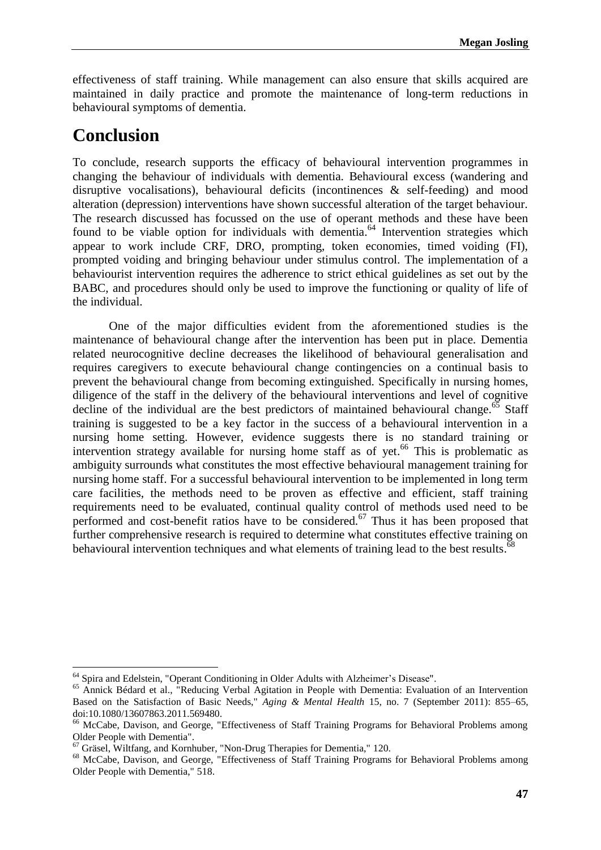effectiveness of staff training. While management can also ensure that skills acquired are maintained in daily practice and promote the maintenance of long-term reductions in behavioural symptoms of dementia.

## **Conclusion**

 $\overline{a}$ 

To conclude, research supports the efficacy of behavioural intervention programmes in changing the behaviour of individuals with dementia. Behavioural excess (wandering and disruptive vocalisations), behavioural deficits (incontinences & self-feeding) and mood alteration (depression) interventions have shown successful alteration of the target behaviour. The research discussed has focussed on the use of operant methods and these have been found to be viable option for individuals with dementia.<sup>64</sup> Intervention strategies which appear to work include CRF, DRO, prompting, token economies, timed voiding (FI), prompted voiding and bringing behaviour under stimulus control. The implementation of a behaviourist intervention requires the adherence to strict ethical guidelines as set out by the BABC, and procedures should only be used to improve the functioning or quality of life of the individual.

One of the major difficulties evident from the aforementioned studies is the maintenance of behavioural change after the intervention has been put in place. Dementia related neurocognitive decline decreases the likelihood of behavioural generalisation and requires caregivers to execute behavioural change contingencies on a continual basis to prevent the behavioural change from becoming extinguished. Specifically in nursing homes, diligence of the staff in the delivery of the behavioural interventions and level of cognitive decline of the individual are the best predictors of maintained behavioural change.<sup>65</sup> Staff training is suggested to be a key factor in the success of a behavioural intervention in a nursing home setting. However, evidence suggests there is no standard training or intervention strategy available for nursing home staff as of yet.<sup>66</sup> This is problematic as ambiguity surrounds what constitutes the most effective behavioural management training for nursing home staff. For a successful behavioural intervention to be implemented in long term care facilities, the methods need to be proven as effective and efficient, staff training requirements need to be evaluated, continual quality control of methods used need to be performed and cost-benefit ratios have to be considered.<sup>67</sup> Thus it has been proposed that further comprehensive research is required to determine what constitutes effective training on behavioural intervention techniques and what elements of training lead to the best results.<sup>68</sup>

<sup>&</sup>lt;sup>64</sup> Spira and Edelstein, "Operant Conditioning in Older Adults with Alzheimer's Disease".

<sup>&</sup>lt;sup>65</sup> Annick Bédard et al., "Reducing Verbal Agitation in People with Dementia: Evaluation of an Intervention Based on the Satisfaction of Basic Needs," *Aging & Mental Health* 15, no. 7 (September 2011): 855–65, doi:10.1080/13607863.2011.569480.

<sup>&</sup>lt;sup>66</sup> McCabe, Davison, and George, "Effectiveness of Staff Training Programs for Behavioral Problems among Older People with Dementia".

 $\frac{67}{67}$  Gräsel, Wiltfang, and Kornhuber, "Non-Drug Therapies for Dementia," 120.

<sup>&</sup>lt;sup>68</sup> McCabe, Davison, and George, "Effectiveness of Staff Training Programs for Behavioral Problems among Older People with Dementia," 518.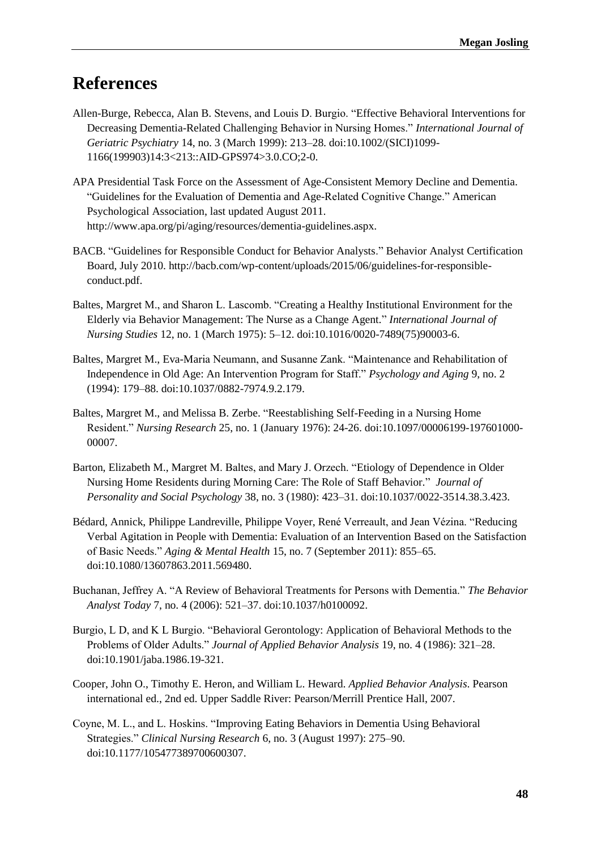## **References**

- Allen-Burge, Rebecca, Alan B. Stevens, and Louis D. Burgio. "Effective Behavioral Interventions for Decreasing Dementia-Related Challenging Behavior in Nursing Homes." *International Journal of Geriatric Psychiatry* 14, no. 3 (March 1999): 213–28. doi:10.1002/(SICI)1099- 1166(199903)14:3<213::AID-GPS974>3.0.CO;2-0.
- APA Presidential Task Force on the Assessment of Age-Consistent Memory Decline and Dementia. "Guidelines for the Evaluation of Dementia and Age-Related Cognitive Change." American Psychological Association, last updated August 2011. http://www.apa.org/pi/aging/resources/dementia-guidelines.aspx.
- BACB. "Guidelines for Responsible Conduct for Behavior Analysts." Behavior Analyst Certification Board, July 2010. http://bacb.com/wp-content/uploads/2015/06/guidelines-for-responsibleconduct.pdf.
- Baltes, Margret M., and Sharon L. Lascomb. "Creating a Healthy Institutional Environment for the Elderly via Behavior Management: The Nurse as a Change Agent." *International Journal of Nursing Studies* 12, no. 1 (March 1975): 5–12. doi:10.1016/0020-7489(75)90003-6.
- Baltes, Margret M., Eva-Maria Neumann, and Susanne Zank. "Maintenance and Rehabilitation of Independence in Old Age: An Intervention Program for Staff." *Psychology and Aging* 9, no. 2 (1994): 179–88. doi:10.1037/0882-7974.9.2.179.
- Baltes, Margret M., and Melissa B. Zerbe. "Reestablishing Self-Feeding in a Nursing Home Resident." *Nursing Research* 25, no. 1 (January 1976): 24-26. doi:10.1097/00006199-197601000- 00007.
- Barton, Elizabeth M., Margret M. Baltes, and Mary J. Orzech. "Etiology of Dependence in Older Nursing Home Residents during Morning Care: The Role of Staff Behavior." *Journal of Personality and Social Psychology* 38, no. 3 (1980): 423–31. doi:10.1037/0022-3514.38.3.423.
- Bédard, Annick, Philippe Landreville, Philippe Voyer, René Verreault, and Jean Vézina. "Reducing Verbal Agitation in People with Dementia: Evaluation of an Intervention Based on the Satisfaction of Basic Needs." *Aging & Mental Health* 15, no. 7 (September 2011): 855–65. doi:10.1080/13607863.2011.569480.
- Buchanan, Jeffrey A. "A Review of Behavioral Treatments for Persons with Dementia." *The Behavior Analyst Today* 7, no. 4 (2006): 521–37. doi:10.1037/h0100092.
- Burgio, L D, and K L Burgio. "Behavioral Gerontology: Application of Behavioral Methods to the Problems of Older Adults." *Journal of Applied Behavior Analysis* 19, no. 4 (1986): 321–28. doi:10.1901/jaba.1986.19-321.
- Cooper, John O., Timothy E. Heron, and William L. Heward. *Applied Behavior Analysis*. Pearson international ed., 2nd ed. Upper Saddle River: Pearson/Merrill Prentice Hall, 2007.
- Coyne, M. L., and L. Hoskins. "Improving Eating Behaviors in Dementia Using Behavioral Strategies." *Clinical Nursing Research* 6, no. 3 (August 1997): 275–90. doi:10.1177/105477389700600307.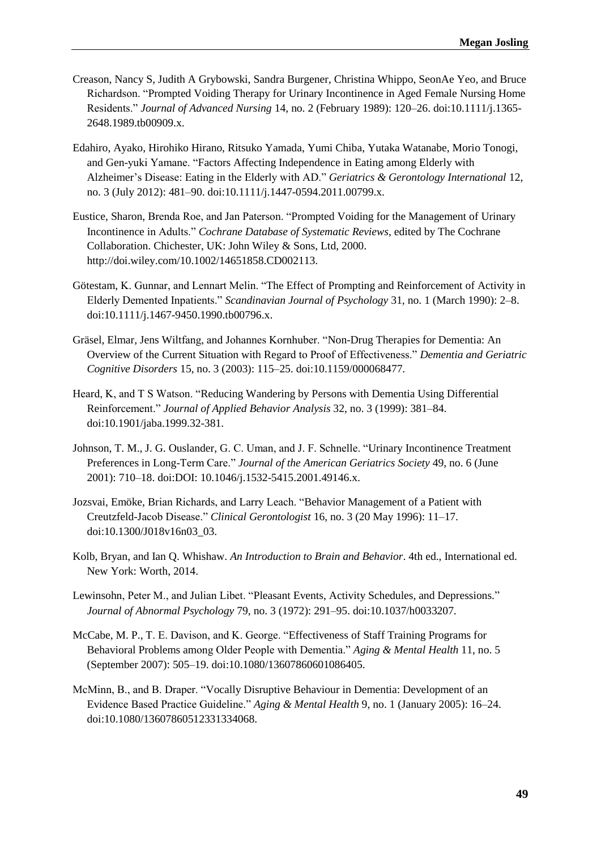- Creason, Nancy S, Judith A Grybowski, Sandra Burgener, Christina Whippo, SeonAe Yeo, and Bruce Richardson. "Prompted Voiding Therapy for Urinary Incontinence in Aged Female Nursing Home Residents." *Journal of Advanced Nursing* 14, no. 2 (February 1989): 120–26. doi:10.1111/j.1365- 2648.1989.tb00909.x.
- Edahiro, Ayako, Hirohiko Hirano, Ritsuko Yamada, Yumi Chiba, Yutaka Watanabe, Morio Tonogi, and Gen-yuki Yamane. "Factors Affecting Independence in Eating among Elderly with Alzheimer's Disease: Eating in the Elderly with AD." *Geriatrics & Gerontology International* 12, no. 3 (July 2012): 481–90. doi:10.1111/j.1447-0594.2011.00799.x.
- Eustice, Sharon, Brenda Roe, and Jan Paterson. "Prompted Voiding for the Management of Urinary Incontinence in Adults." *Cochrane Database of Systematic Reviews*, edited by The Cochrane Collaboration. Chichester, UK: John Wiley & Sons, Ltd, 2000. http://doi.wiley.com/10.1002/14651858.CD002113.
- Götestam, K. Gunnar, and Lennart Melin. "The Effect of Prompting and Reinforcement of Activity in Elderly Demented Inpatients." *Scandinavian Journal of Psychology* 31, no. 1 (March 1990): 2–8. doi:10.1111/j.1467-9450.1990.tb00796.x.
- Gräsel, Elmar, Jens Wiltfang, and Johannes Kornhuber. "Non-Drug Therapies for Dementia: An Overview of the Current Situation with Regard to Proof of Effectiveness." *Dementia and Geriatric Cognitive Disorders* 15, no. 3 (2003): 115–25. doi:10.1159/000068477.
- Heard, K, and T S Watson. "Reducing Wandering by Persons with Dementia Using Differential Reinforcement." *Journal of Applied Behavior Analysis* 32, no. 3 (1999): 381–84. doi:10.1901/jaba.1999.32-381.
- Johnson, T. M., J. G. Ouslander, G. C. Uman, and J. F. Schnelle. "Urinary Incontinence Treatment Preferences in Long-Term Care." *Journal of the American Geriatrics Society* 49, no. 6 (June 2001): 710–18. doi:DOI: 10.1046/j.1532-5415.2001.49146.x.
- Jozsvai, Emöke, Brian Richards, and Larry Leach. "Behavior Management of a Patient with Creutzfeld-Jacob Disease." *Clinical Gerontologist* 16, no. 3 (20 May 1996): 11–17. doi:10.1300/J018v16n03\_03.
- Kolb, Bryan, and Ian Q. Whishaw. *An Introduction to Brain and Behavior*. 4th ed., International ed. New York: Worth, 2014.
- Lewinsohn, Peter M., and Julian Libet. "Pleasant Events, Activity Schedules, and Depressions." *Journal of Abnormal Psychology* 79, no. 3 (1972): 291–95. doi:10.1037/h0033207.
- McCabe, M. P., T. E. Davison, and K. George. "Effectiveness of Staff Training Programs for Behavioral Problems among Older People with Dementia." *Aging & Mental Health* 11, no. 5 (September 2007): 505–19. doi:10.1080/13607860601086405.
- McMinn, B., and B. Draper. "Vocally Disruptive Behaviour in Dementia: Development of an Evidence Based Practice Guideline." *Aging & Mental Health* 9, no. 1 (January 2005): 16–24. doi:10.1080/13607860512331334068.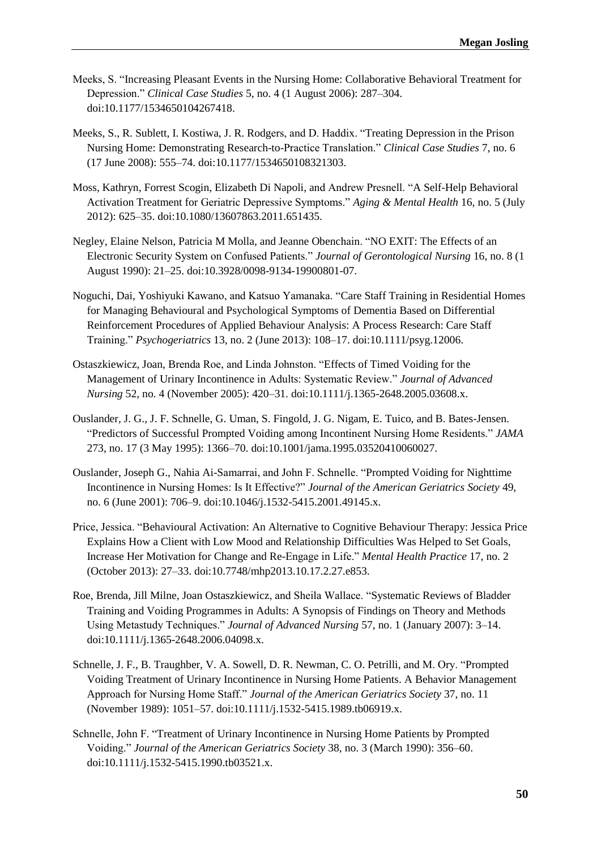- Meeks, S. "Increasing Pleasant Events in the Nursing Home: Collaborative Behavioral Treatment for Depression." *Clinical Case Studies* 5, no. 4 (1 August 2006): 287–304. doi:10.1177/1534650104267418.
- Meeks, S., R. Sublett, I. Kostiwa, J. R. Rodgers, and D. Haddix. "Treating Depression in the Prison Nursing Home: Demonstrating Research-to-Practice Translation." *Clinical Case Studies* 7, no. 6 (17 June 2008): 555–74. doi:10.1177/1534650108321303.
- Moss, Kathryn, Forrest Scogin, Elizabeth Di Napoli, and Andrew Presnell. "A Self-Help Behavioral Activation Treatment for Geriatric Depressive Symptoms." *Aging & Mental Health* 16, no. 5 (July 2012): 625–35. doi:10.1080/13607863.2011.651435.
- Negley, Elaine Nelson, Patricia M Molla, and Jeanne Obenchain. "NO EXIT: The Effects of an Electronic Security System on Confused Patients." *Journal of Gerontological Nursing* 16, no. 8 (1 August 1990): 21–25. doi:10.3928/0098-9134-19900801-07.
- Noguchi, Dai, Yoshiyuki Kawano, and Katsuo Yamanaka. "Care Staff Training in Residential Homes for Managing Behavioural and Psychological Symptoms of Dementia Based on Differential Reinforcement Procedures of Applied Behaviour Analysis: A Process Research: Care Staff Training." *Psychogeriatrics* 13, no. 2 (June 2013): 108–17. doi:10.1111/psyg.12006.
- Ostaszkiewicz, Joan, Brenda Roe, and Linda Johnston. "Effects of Timed Voiding for the Management of Urinary Incontinence in Adults: Systematic Review." *Journal of Advanced Nursing* 52, no. 4 (November 2005): 420–31. doi:10.1111/j.1365-2648.2005.03608.x.
- Ouslander, J. G., J. F. Schnelle, G. Uman, S. Fingold, J. G. Nigam, E. Tuico, and B. Bates-Jensen. "Predictors of Successful Prompted Voiding among Incontinent Nursing Home Residents." *JAMA* 273, no. 17 (3 May 1995): 1366–70. doi:10.1001/jama.1995.03520410060027.
- Ouslander, Joseph G., Nahia Ai-Samarrai, and John F. Schnelle. "Prompted Voiding for Nighttime Incontinence in Nursing Homes: Is It Effective?" *Journal of the American Geriatrics Society* 49, no. 6 (June 2001): 706–9. doi:10.1046/j.1532-5415.2001.49145.x.
- Price, Jessica. "Behavioural Activation: An Alternative to Cognitive Behaviour Therapy: Jessica Price Explains How a Client with Low Mood and Relationship Difficulties Was Helped to Set Goals, Increase Her Motivation for Change and Re-Engage in Life." *Mental Health Practice* 17, no. 2 (October 2013): 27–33. doi:10.7748/mhp2013.10.17.2.27.e853.
- Roe, Brenda, Jill Milne, Joan Ostaszkiewicz, and Sheila Wallace. "Systematic Reviews of Bladder Training and Voiding Programmes in Adults: A Synopsis of Findings on Theory and Methods Using Metastudy Techniques." *Journal of Advanced Nursing* 57, no. 1 (January 2007): 3–14. doi:10.1111/j.1365-2648.2006.04098.x.
- Schnelle, J. F., B. Traughber, V. A. Sowell, D. R. Newman, C. O. Petrilli, and M. Ory. "Prompted Voiding Treatment of Urinary Incontinence in Nursing Home Patients. A Behavior Management Approach for Nursing Home Staff." *Journal of the American Geriatrics Society* 37, no. 11 (November 1989): 1051–57. doi:10.1111/j.1532-5415.1989.tb06919.x.
- Schnelle, John F. "Treatment of Urinary Incontinence in Nursing Home Patients by Prompted Voiding." *Journal of the American Geriatrics Society* 38, no. 3 (March 1990): 356–60. doi:10.1111/j.1532-5415.1990.tb03521.x.